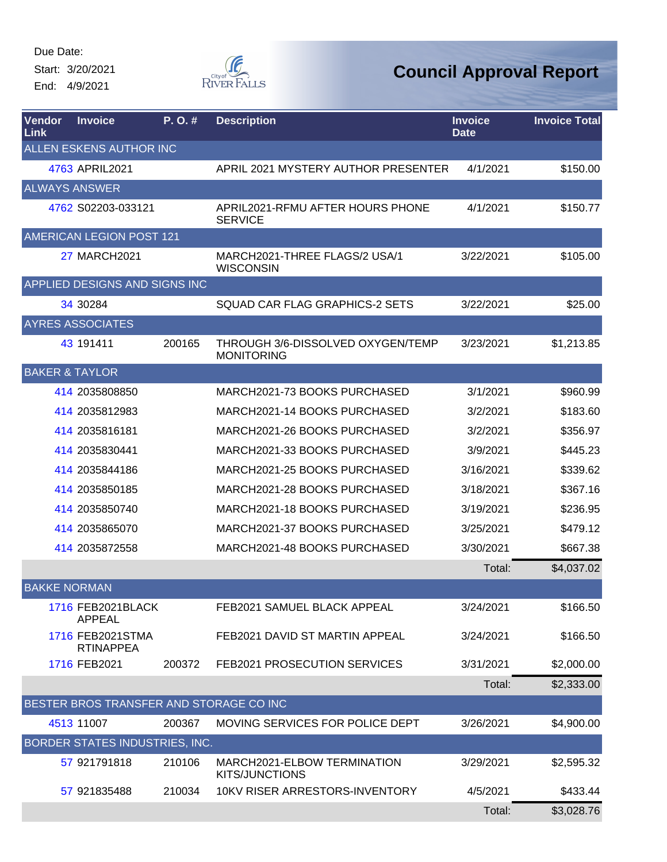Start: 3/20/2021 End: 4/9/2021



| <b>Vendor</b><br>Link | <b>Invoice</b>                          | P.O.#  | <b>Description</b>                                     | <b>Invoice</b><br><b>Date</b> | <b>Invoice Total</b> |
|-----------------------|-----------------------------------------|--------|--------------------------------------------------------|-------------------------------|----------------------|
|                       | ALLEN ESKENS AUTHOR INC                 |        |                                                        |                               |                      |
|                       | 4763 APRIL2021                          |        | APRIL 2021 MYSTERY AUTHOR PRESENTER                    | 4/1/2021                      | \$150.00             |
|                       | <b>ALWAYS ANSWER</b>                    |        |                                                        |                               |                      |
|                       | 4762 S02203-033121                      |        | APRIL2021-RFMU AFTER HOURS PHONE<br><b>SERVICE</b>     | 4/1/2021                      | \$150.77             |
|                       | AMERICAN LEGION POST 121                |        |                                                        |                               |                      |
|                       | <b>27 MARCH2021</b>                     |        | MARCH2021-THREE FLAGS/2 USA/1<br><b>WISCONSIN</b>      | 3/22/2021                     | \$105.00             |
|                       | APPLIED DESIGNS AND SIGNS INC           |        |                                                        |                               |                      |
|                       | 34 30284                                |        | SQUAD CAR FLAG GRAPHICS-2 SETS                         | 3/22/2021                     | \$25.00              |
|                       | <b>AYRES ASSOCIATES</b>                 |        |                                                        |                               |                      |
|                       | 43 191411                               | 200165 | THROUGH 3/6-DISSOLVED OXYGEN/TEMP<br><b>MONITORING</b> | 3/23/2021                     | \$1,213.85           |
|                       | <b>BAKER &amp; TAYLOR</b>               |        |                                                        |                               |                      |
|                       | 414 2035808850                          |        | MARCH2021-73 BOOKS PURCHASED                           | 3/1/2021                      | \$960.99             |
|                       | 414 2035812983                          |        | MARCH2021-14 BOOKS PURCHASED                           | 3/2/2021                      | \$183.60             |
|                       | 414 2035816181                          |        | MARCH2021-26 BOOKS PURCHASED                           | 3/2/2021                      | \$356.97             |
|                       | 414 2035830441                          |        | MARCH2021-33 BOOKS PURCHASED                           | 3/9/2021                      | \$445.23             |
|                       | 414 2035844186                          |        | MARCH2021-25 BOOKS PURCHASED                           | 3/16/2021                     | \$339.62             |
|                       | 414 2035850185                          |        | MARCH2021-28 BOOKS PURCHASED                           | 3/18/2021                     | \$367.16             |
|                       | 414 2035850740                          |        | MARCH2021-18 BOOKS PURCHASED                           | 3/19/2021                     | \$236.95             |
|                       | 414 2035865070                          |        | MARCH2021-37 BOOKS PURCHASED                           | 3/25/2021                     | \$479.12             |
|                       | 414 2035872558                          |        | MARCH2021-48 BOOKS PURCHASED                           | 3/30/2021                     | \$667.38             |
|                       |                                         |        |                                                        | Total:                        | \$4,037.02           |
| <b>BAKKE NORMAN</b>   |                                         |        |                                                        |                               |                      |
|                       | 1716 FEB2021BLACK<br><b>APPEAL</b>      |        | FEB2021 SAMUEL BLACK APPEAL                            | 3/24/2021                     | \$166.50             |
|                       | 1716 FEB2021STMA<br><b>RTINAPPEA</b>    |        | FEB2021 DAVID ST MARTIN APPEAL                         | 3/24/2021                     | \$166.50             |
|                       | 1716 FEB2021                            | 200372 | FEB2021 PROSECUTION SERVICES                           | 3/31/2021                     | \$2,000.00           |
|                       |                                         |        |                                                        | Total:                        | \$2,333.00           |
|                       | BESTER BROS TRANSFER AND STORAGE CO INC |        |                                                        |                               |                      |
|                       | 4513 11007                              | 200367 | MOVING SERVICES FOR POLICE DEPT                        | 3/26/2021                     | \$4,900.00           |
|                       | BORDER STATES INDUSTRIES, INC.          |        |                                                        |                               |                      |
|                       | 57 921791818                            | 210106 | MARCH2021-ELBOW TERMINATION<br><b>KITS/JUNCTIONS</b>   | 3/29/2021                     | \$2,595.32           |
|                       | 57 921835488                            | 210034 | 10KV RISER ARRESTORS-INVENTORY                         | 4/5/2021                      | \$433.44             |
|                       |                                         |        |                                                        | Total:                        | \$3,028.76           |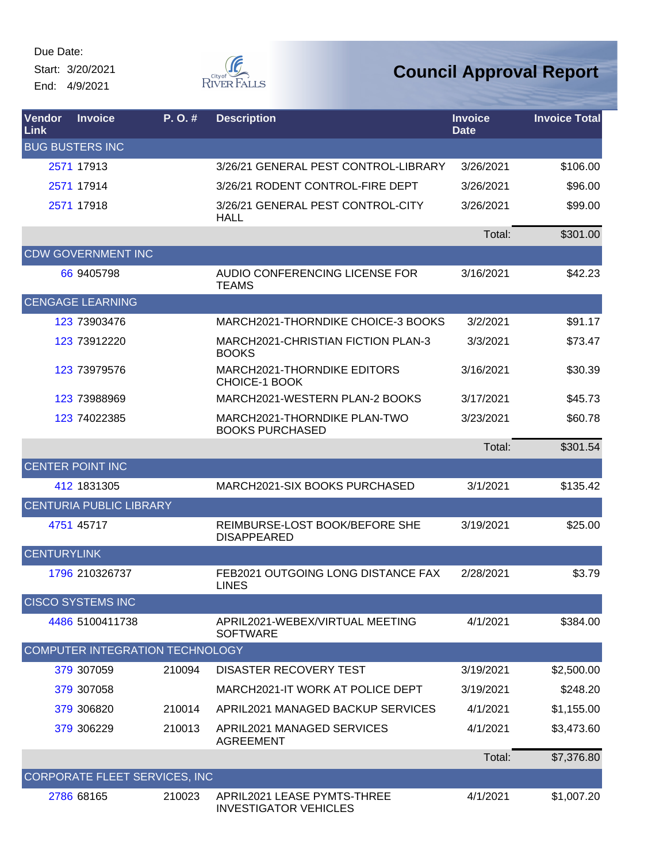Due Date: Start: 3/20/2021

End: 4/9/2021



| Vendor<br>Link     | <b>Invoice</b>                  | P. O. # | <b>Description</b>                                          | <b>Invoice</b><br><b>Date</b> | <b>Invoice Total</b> |
|--------------------|---------------------------------|---------|-------------------------------------------------------------|-------------------------------|----------------------|
|                    | <b>BUG BUSTERS INC</b>          |         |                                                             |                               |                      |
|                    | 2571 17913                      |         | 3/26/21 GENERAL PEST CONTROL-LIBRARY                        | 3/26/2021                     | \$106.00             |
|                    | 2571 17914                      |         | 3/26/21 RODENT CONTROL-FIRE DEPT                            | 3/26/2021                     | \$96.00              |
|                    | 2571 17918                      |         | 3/26/21 GENERAL PEST CONTROL-CITY<br><b>HALL</b>            | 3/26/2021                     | \$99.00              |
|                    |                                 |         |                                                             | Total:                        | \$301.00             |
|                    | <b>CDW GOVERNMENT INC</b>       |         |                                                             |                               |                      |
|                    | 66 9405798                      |         | AUDIO CONFERENCING LICENSE FOR<br><b>TEAMS</b>              | 3/16/2021                     | \$42.23              |
|                    | <b>CENGAGE LEARNING</b>         |         |                                                             |                               |                      |
|                    | 123 73903476                    |         | MARCH2021-THORNDIKE CHOICE-3 BOOKS                          | 3/2/2021                      | \$91.17              |
|                    | 123 73912220                    |         | MARCH2021-CHRISTIAN FICTION PLAN-3<br><b>BOOKS</b>          | 3/3/2021                      | \$73.47              |
|                    | 123 73979576                    |         | MARCH2021-THORNDIKE EDITORS<br><b>CHOICE-1 BOOK</b>         | 3/16/2021                     | \$30.39              |
|                    | 123 73988969                    |         | MARCH2021-WESTERN PLAN-2 BOOKS                              | 3/17/2021                     | \$45.73              |
|                    | 123 74022385                    |         | MARCH2021-THORNDIKE PLAN-TWO<br><b>BOOKS PURCHASED</b>      | 3/23/2021                     | \$60.78              |
|                    |                                 |         |                                                             | Total:                        | \$301.54             |
|                    | <b>CENTER POINT INC</b>         |         |                                                             |                               |                      |
|                    | 412 1831305                     |         | MARCH2021-SIX BOOKS PURCHASED                               | 3/1/2021                      | \$135.42             |
|                    | <b>CENTURIA PUBLIC LIBRARY</b>  |         |                                                             |                               |                      |
|                    | 4751 45717                      |         | REIMBURSE-LOST BOOK/BEFORE SHE<br><b>DISAPPEARED</b>        | 3/19/2021                     | \$25.00              |
| <b>CENTURYLINK</b> |                                 |         |                                                             |                               |                      |
|                    | 1796 210326737                  |         | FEB2021 OUTGOING LONG DISTANCE FAX<br><b>LINES</b>          | 2/28/2021                     | \$3.79               |
|                    | <b>CISCO SYSTEMS INC</b>        |         |                                                             |                               |                      |
|                    | 4486 5100411738                 |         | APRIL2021-WEBEX/VIRTUAL MEETING<br><b>SOFTWARE</b>          | 4/1/2021                      | \$384.00             |
|                    | COMPUTER INTEGRATION TECHNOLOGY |         |                                                             |                               |                      |
|                    | 379 307059                      | 210094  | <b>DISASTER RECOVERY TEST</b>                               | 3/19/2021                     | \$2,500.00           |
|                    | 379 307058                      |         | MARCH2021-IT WORK AT POLICE DEPT                            | 3/19/2021                     | \$248.20             |
|                    | 379 306820                      | 210014  | APRIL2021 MANAGED BACKUP SERVICES                           | 4/1/2021                      | \$1,155.00           |
|                    | 379 306229                      | 210013  | APRIL2021 MANAGED SERVICES<br><b>AGREEMENT</b>              | 4/1/2021                      | \$3,473.60           |
|                    |                                 |         |                                                             | Total:                        | \$7,376.80           |
|                    | CORPORATE FLEET SERVICES, INC   |         |                                                             |                               |                      |
|                    | 2786 68165                      | 210023  | APRIL2021 LEASE PYMTS-THREE<br><b>INVESTIGATOR VEHICLES</b> | 4/1/2021                      | \$1,007.20           |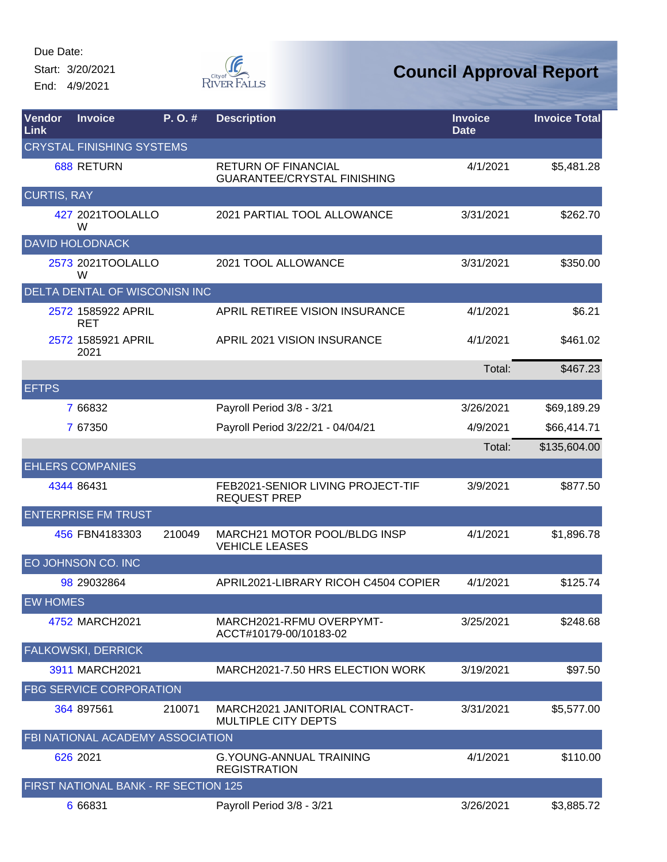Start: 3/20/2021 End: 4/9/2021



| Vendor<br>Link     | <b>Invoice</b>                       | P. O. # | <b>Description</b>                                               | <b>Invoice</b><br><b>Date</b> | <b>Invoice Total</b> |
|--------------------|--------------------------------------|---------|------------------------------------------------------------------|-------------------------------|----------------------|
|                    | <b>CRYSTAL FINISHING SYSTEMS</b>     |         |                                                                  |                               |                      |
|                    | <b>688 RETURN</b>                    |         | <b>RETURN OF FINANCIAL</b><br><b>GUARANTEE/CRYSTAL FINISHING</b> | 4/1/2021                      | \$5,481.28           |
| <b>CURTIS, RAY</b> |                                      |         |                                                                  |                               |                      |
|                    | 427 2021TOOLALLO<br>W                |         | 2021 PARTIAL TOOL ALLOWANCE                                      | 3/31/2021                     | \$262.70             |
|                    | <b>DAVID HOLODNACK</b>               |         |                                                                  |                               |                      |
|                    | 2573 2021TOOLALLO<br>W               |         | 2021 TOOL ALLOWANCE                                              | 3/31/2021                     | \$350.00             |
|                    | DELTA DENTAL OF WISCONISN INC        |         |                                                                  |                               |                      |
|                    | 2572 1585922 APRIL<br><b>RET</b>     |         | APRIL RETIREE VISION INSURANCE                                   | 4/1/2021                      | \$6.21               |
|                    | 2572 1585921 APRIL<br>2021           |         | APRIL 2021 VISION INSURANCE                                      | 4/1/2021                      | \$461.02             |
|                    |                                      |         |                                                                  | Total:                        | \$467.23             |
| <b>EFTPS</b>       |                                      |         |                                                                  |                               |                      |
|                    | 7 66832                              |         | Payroll Period 3/8 - 3/21                                        | 3/26/2021                     | \$69,189.29          |
|                    | 7 67350                              |         | Payroll Period 3/22/21 - 04/04/21                                | 4/9/2021                      | \$66,414.71          |
|                    |                                      |         |                                                                  | Total:                        | \$135,604.00         |
|                    | <b>EHLERS COMPANIES</b>              |         |                                                                  |                               |                      |
|                    | 4344 86431                           |         | FEB2021-SENIOR LIVING PROJECT-TIF<br><b>REQUEST PREP</b>         | 3/9/2021                      | \$877.50             |
|                    | <b>ENTERPRISE FM TRUST</b>           |         |                                                                  |                               |                      |
|                    | 456 FBN4183303                       | 210049  | <b>MARCH21 MOTOR POOL/BLDG INSP</b><br><b>VEHICLE LEASES</b>     | 4/1/2021                      | \$1,896.78           |
|                    | EO JOHNSON CO. INC                   |         |                                                                  |                               |                      |
|                    | 98 29032864                          |         | APRIL2021-LIBRARY RICOH C4504 COPIER                             | 4/1/2021                      | \$125.74             |
| <b>EW HOMES</b>    |                                      |         |                                                                  |                               |                      |
|                    | 4752 MARCH2021                       |         | MARCH2021-RFMU OVERPYMT-<br>ACCT#10179-00/10183-02               | 3/25/2021                     | \$248.68             |
|                    | <b>FALKOWSKI, DERRICK</b>            |         |                                                                  |                               |                      |
|                    | 3911 MARCH2021                       |         | MARCH2021-7.50 HRS ELECTION WORK                                 | 3/19/2021                     | \$97.50              |
|                    | <b>FBG SERVICE CORPORATION</b>       |         |                                                                  |                               |                      |
|                    | 364 897561                           | 210071  | MARCH2021 JANITORIAL CONTRACT-<br>MULTIPLE CITY DEPTS            | 3/31/2021                     | \$5,577.00           |
|                    | FBI NATIONAL ACADEMY ASSOCIATION     |         |                                                                  |                               |                      |
|                    | 626 2021                             |         | <b>G.YOUNG-ANNUAL TRAINING</b><br><b>REGISTRATION</b>            | 4/1/2021                      | \$110.00             |
|                    | FIRST NATIONAL BANK - RF SECTION 125 |         |                                                                  |                               |                      |
|                    | 6 66831                              |         | Payroll Period 3/8 - 3/21                                        | 3/26/2021                     | \$3,885.72           |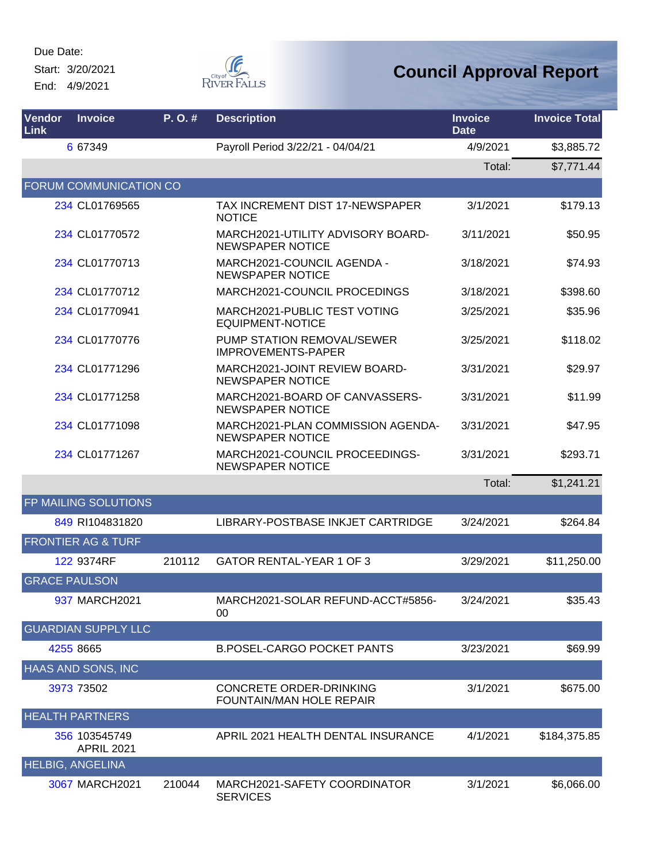Start: 3/20/2021 End: 4/9/2021



| Vendor<br>Link | <b>Invoice</b>                     | P. O. # | <b>Description</b>                                           | <b>Invoice</b><br><b>Date</b> | <b>Invoice Total</b> |
|----------------|------------------------------------|---------|--------------------------------------------------------------|-------------------------------|----------------------|
|                | 6 67349                            |         | Payroll Period 3/22/21 - 04/04/21                            | 4/9/2021                      | \$3,885.72           |
|                |                                    |         |                                                              | Total:                        | \$7,771.44           |
|                | <b>FORUM COMMUNICATION CO</b>      |         |                                                              |                               |                      |
|                | 234 CL01769565                     |         | TAX INCREMENT DIST 17-NEWSPAPER<br><b>NOTICE</b>             | 3/1/2021                      | \$179.13             |
|                | 234 CL01770572                     |         | MARCH2021-UTILITY ADVISORY BOARD-<br>NEWSPAPER NOTICE        | 3/11/2021                     | \$50.95              |
|                | 234 CL01770713                     |         | MARCH2021-COUNCIL AGENDA -<br><b>NEWSPAPER NOTICE</b>        | 3/18/2021                     | \$74.93              |
|                | 234 CL01770712                     |         | MARCH2021-COUNCIL PROCEDINGS                                 | 3/18/2021                     | \$398.60             |
|                | 234 CL01770941                     |         | MARCH2021-PUBLIC TEST VOTING<br><b>EQUIPMENT-NOTICE</b>      | 3/25/2021                     | \$35.96              |
|                | 234 CL01770776                     |         | PUMP STATION REMOVAL/SEWER<br><b>IMPROVEMENTS-PAPER</b>      | 3/25/2021                     | \$118.02             |
|                | 234 CL01771296                     |         | MARCH2021-JOINT REVIEW BOARD-<br><b>NEWSPAPER NOTICE</b>     | 3/31/2021                     | \$29.97              |
|                | 234 CL01771258                     |         | MARCH2021-BOARD OF CANVASSERS-<br><b>NEWSPAPER NOTICE</b>    | 3/31/2021                     | \$11.99              |
|                | 234 CL01771098                     |         | MARCH2021-PLAN COMMISSION AGENDA-<br><b>NEWSPAPER NOTICE</b> | 3/31/2021                     | \$47.95              |
|                | 234 CL01771267                     |         | MARCH2021-COUNCIL PROCEEDINGS-<br><b>NEWSPAPER NOTICE</b>    | 3/31/2021                     | \$293.71             |
|                |                                    |         |                                                              | Total:                        | \$1,241.21           |
|                | FP MAILING SOLUTIONS               |         |                                                              |                               |                      |
|                | 849 RI104831820                    |         | LIBRARY-POSTBASE INKJET CARTRIDGE                            | 3/24/2021                     | \$264.84             |
|                | <b>FRONTIER AG &amp; TURF</b>      |         |                                                              |                               |                      |
|                | 122 9374RF                         | 210112  | <b>GATOR RENTAL-YEAR 1 OF 3</b>                              | 3/29/2021                     | \$11,250.00          |
|                | <b>GRACE PAULSON</b>               |         |                                                              |                               |                      |
|                | 937 MARCH2021                      |         | MARCH2021-SOLAR REFUND-ACCT#5856-<br>00                      | 3/24/2021                     | \$35.43              |
|                | <b>GUARDIAN SUPPLY LLC</b>         |         |                                                              |                               |                      |
|                | 4255 8665                          |         | <b>B.POSEL-CARGO POCKET PANTS</b>                            | 3/23/2021                     | \$69.99              |
|                | <b>HAAS AND SONS, INC</b>          |         |                                                              |                               |                      |
|                | 3973 73502                         |         | CONCRETE ORDER-DRINKING<br>FOUNTAIN/MAN HOLE REPAIR          | 3/1/2021                      | \$675.00             |
|                | <b>HEALTH PARTNERS</b>             |         |                                                              |                               |                      |
|                | 356 103545749<br><b>APRIL 2021</b> |         | APRIL 2021 HEALTH DENTAL INSURANCE                           | 4/1/2021                      | \$184,375.85         |
|                | <b>HELBIG, ANGELINA</b>            |         |                                                              |                               |                      |
|                | 3067 MARCH2021                     | 210044  | MARCH2021-SAFETY COORDINATOR<br><b>SERVICES</b>              | 3/1/2021                      | \$6,066.00           |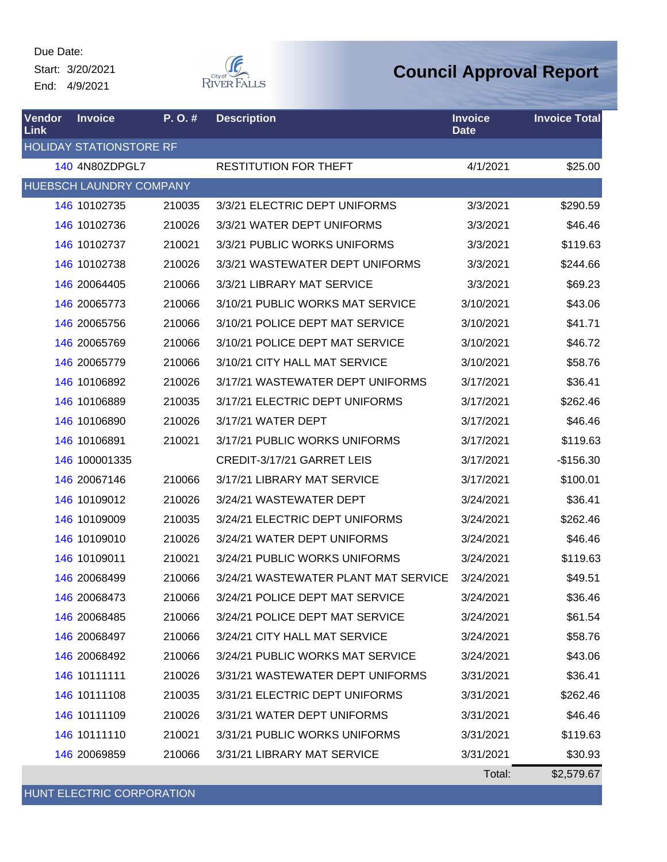Start: 3/20/2021 End: 4/9/2021



#### **Council Approval Report**

| <b>Vendor</b><br>Link | <b>Invoice</b>                 | P. O. # | <b>Description</b>                   | <b>Invoice</b><br><b>Date</b> | <b>Invoice Total</b> |
|-----------------------|--------------------------------|---------|--------------------------------------|-------------------------------|----------------------|
|                       | <b>HOLIDAY STATIONSTORE RF</b> |         |                                      |                               |                      |
|                       | 140 4N80ZDPGL7                 |         | <b>RESTITUTION FOR THEFT</b>         | 4/1/2021                      | \$25.00              |
|                       | <b>HUEBSCH LAUNDRY COMPANY</b> |         |                                      |                               |                      |
|                       | 146 10102735                   | 210035  | 3/3/21 ELECTRIC DEPT UNIFORMS        | 3/3/2021                      | \$290.59             |
|                       | 146 10102736                   | 210026  | 3/3/21 WATER DEPT UNIFORMS           | 3/3/2021                      | \$46.46              |
|                       | 146 10102737                   | 210021  | 3/3/21 PUBLIC WORKS UNIFORMS         | 3/3/2021                      | \$119.63             |
|                       | 146 10102738                   | 210026  | 3/3/21 WASTEWATER DEPT UNIFORMS      | 3/3/2021                      | \$244.66             |
|                       | 146 20064405                   | 210066  | 3/3/21 LIBRARY MAT SERVICE           | 3/3/2021                      | \$69.23              |
|                       | 146 20065773                   | 210066  | 3/10/21 PUBLIC WORKS MAT SERVICE     | 3/10/2021                     | \$43.06              |
|                       | 146 20065756                   | 210066  | 3/10/21 POLICE DEPT MAT SERVICE      | 3/10/2021                     | \$41.71              |
|                       | 146 20065769                   | 210066  | 3/10/21 POLICE DEPT MAT SERVICE      | 3/10/2021                     | \$46.72              |
|                       | 146 20065779                   | 210066  | 3/10/21 CITY HALL MAT SERVICE        | 3/10/2021                     | \$58.76              |
|                       | 146 10106892                   | 210026  | 3/17/21 WASTEWATER DEPT UNIFORMS     | 3/17/2021                     | \$36.41              |
|                       | 146 10106889                   | 210035  | 3/17/21 ELECTRIC DEPT UNIFORMS       | 3/17/2021                     | \$262.46             |
|                       | 146 10106890                   | 210026  | 3/17/21 WATER DEPT                   | 3/17/2021                     | \$46.46              |
|                       | 146 10106891                   | 210021  | 3/17/21 PUBLIC WORKS UNIFORMS        | 3/17/2021                     | \$119.63             |
|                       | 146 100001335                  |         | CREDIT-3/17/21 GARRET LEIS           | 3/17/2021                     | $-$156.30$           |
|                       | 146 20067146                   | 210066  | 3/17/21 LIBRARY MAT SERVICE          | 3/17/2021                     | \$100.01             |
|                       | 146 10109012                   | 210026  | 3/24/21 WASTEWATER DEPT              | 3/24/2021                     | \$36.41              |
|                       | 146 10109009                   | 210035  | 3/24/21 ELECTRIC DEPT UNIFORMS       | 3/24/2021                     | \$262.46             |
|                       | 146 10109010                   | 210026  | 3/24/21 WATER DEPT UNIFORMS          | 3/24/2021                     | \$46.46              |
|                       | 146 10109011                   | 210021  | 3/24/21 PUBLIC WORKS UNIFORMS        | 3/24/2021                     | \$119.63             |
|                       | 146 20068499                   | 210066  | 3/24/21 WASTEWATER PLANT MAT SERVICE | 3/24/2021                     | \$49.51              |
|                       | 146 20068473                   | 210066  | 3/24/21 POLICE DEPT MAT SERVICE      | 3/24/2021                     | \$36.46              |
|                       | 146 20068485                   | 210066  | 3/24/21 POLICE DEPT MAT SERVICE      | 3/24/2021                     | \$61.54              |
|                       | 146 20068497                   | 210066  | 3/24/21 CITY HALL MAT SERVICE        | 3/24/2021                     | \$58.76              |
|                       | 146 20068492                   | 210066  | 3/24/21 PUBLIC WORKS MAT SERVICE     | 3/24/2021                     | \$43.06              |
|                       | 146 10111111                   | 210026  | 3/31/21 WASTEWATER DEPT UNIFORMS     | 3/31/2021                     | \$36.41              |
|                       | 146 10111108                   | 210035  | 3/31/21 ELECTRIC DEPT UNIFORMS       | 3/31/2021                     | \$262.46             |
|                       | 146 10111109                   | 210026  | 3/31/21 WATER DEPT UNIFORMS          | 3/31/2021                     | \$46.46              |
|                       | 146 10111110                   | 210021  | 3/31/21 PUBLIC WORKS UNIFORMS        | 3/31/2021                     | \$119.63             |
|                       | 146 20069859                   | 210066  | 3/31/21 LIBRARY MAT SERVICE          | 3/31/2021                     | \$30.93              |
|                       |                                |         |                                      | Total:                        | \$2,579.67           |

HUNT ELECTRIC CORPORATION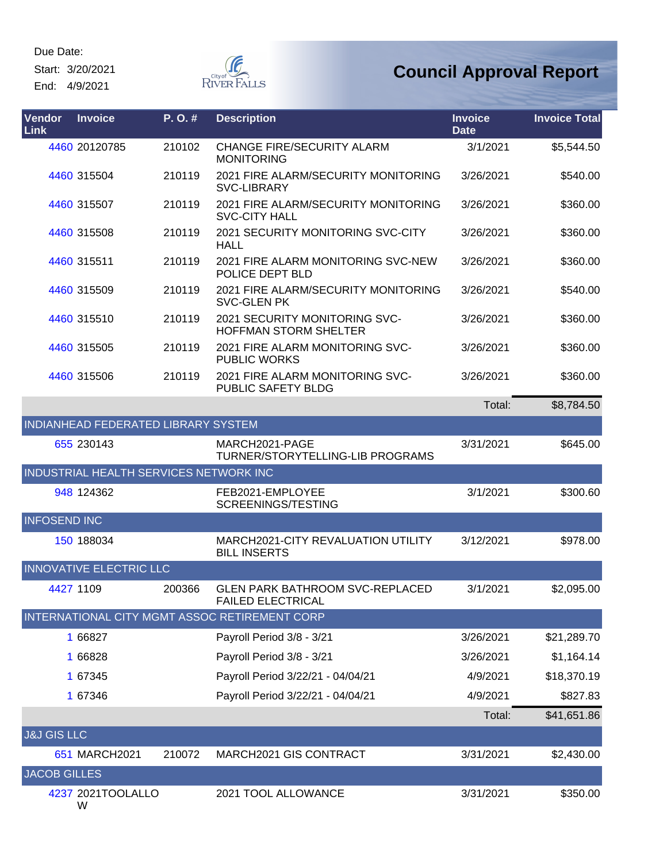Start: 3/20/2021

End: 4/9/2021



| Vendor<br><b>Link</b>  | <b>Invoice</b>                         | P.O.#  | <b>Description</b>                                                 | <b>Invoice</b><br><b>Date</b> | <b>Invoice Total</b> |
|------------------------|----------------------------------------|--------|--------------------------------------------------------------------|-------------------------------|----------------------|
|                        | 4460 20120785                          | 210102 | <b>CHANGE FIRE/SECURITY ALARM</b><br><b>MONITORING</b>             | 3/1/2021                      | \$5,544.50           |
|                        | 4460 315504                            | 210119 | 2021 FIRE ALARM/SECURITY MONITORING<br>SVC-LIBRARY                 | 3/26/2021                     | \$540.00             |
|                        | 4460 315507                            | 210119 | 2021 FIRE ALARM/SECURITY MONITORING<br><b>SVC-CITY HALL</b>        | 3/26/2021                     | \$360.00             |
|                        | 4460 315508                            | 210119 | 2021 SECURITY MONITORING SVC-CITY<br><b>HALL</b>                   | 3/26/2021                     | \$360.00             |
|                        | 4460 315511                            | 210119 | 2021 FIRE ALARM MONITORING SVC-NEW<br>POLICE DEPT BLD              | 3/26/2021                     | \$360.00             |
|                        | 4460 315509                            | 210119 | 2021 FIRE ALARM/SECURITY MONITORING<br><b>SVC-GLEN PK</b>          | 3/26/2021                     | \$540.00             |
|                        | 4460 315510                            | 210119 | 2021 SECURITY MONITORING SVC-<br><b>HOFFMAN STORM SHELTER</b>      | 3/26/2021                     | \$360.00             |
|                        | 4460 315505                            | 210119 | 2021 FIRE ALARM MONITORING SVC-<br><b>PUBLIC WORKS</b>             | 3/26/2021                     | \$360.00             |
|                        | 4460 315506                            | 210119 | 2021 FIRE ALARM MONITORING SVC-<br><b>PUBLIC SAFETY BLDG</b>       | 3/26/2021                     | \$360.00             |
|                        |                                        |        |                                                                    | Total:                        | \$8,784.50           |
|                        | INDIANHEAD FEDERATED LIBRARY SYSTEM    |        |                                                                    |                               |                      |
|                        | 655 230143                             |        | MARCH2021-PAGE<br>TURNER/STORYTELLING-LIB PROGRAMS                 | 3/31/2021                     | \$645.00             |
|                        | INDUSTRIAL HEALTH SERVICES NETWORK INC |        |                                                                    |                               |                      |
|                        | 948 124362                             |        | FEB2021-EMPLOYEE<br>SCREENINGS/TESTING                             | 3/1/2021                      | \$300.60             |
| <b>INFOSEND INC</b>    |                                        |        |                                                                    |                               |                      |
|                        | 150 188034                             |        | MARCH2021-CITY REVALUATION UTILITY<br><b>BILL INSERTS</b>          | 3/12/2021                     | \$978.00             |
|                        | <b>INNOVATIVE ELECTRIC LLC</b>         |        |                                                                    |                               |                      |
|                        | 4427 1109                              | 200366 | <b>GLEN PARK BATHROOM SVC-REPLACED</b><br><b>FAILED ELECTRICAL</b> | 3/1/2021                      | \$2,095.00           |
|                        |                                        |        | INTERNATIONAL CITY MGMT ASSOC RETIREMENT CORP                      |                               |                      |
|                        | 1 66827                                |        | Payroll Period 3/8 - 3/21                                          | 3/26/2021                     | \$21,289.70          |
|                        | 1 66828                                |        | Payroll Period 3/8 - 3/21                                          | 3/26/2021                     | \$1,164.14           |
|                        | 1 67345                                |        | Payroll Period 3/22/21 - 04/04/21                                  | 4/9/2021                      | \$18,370.19          |
|                        | 1 67346                                |        | Payroll Period 3/22/21 - 04/04/21                                  | 4/9/2021                      | \$827.83             |
|                        |                                        |        |                                                                    | Total:                        | \$41,651.86          |
| <b>J&amp;J GIS LLC</b> |                                        |        |                                                                    |                               |                      |
|                        | 651 MARCH2021                          | 210072 | MARCH2021 GIS CONTRACT                                             | 3/31/2021                     | \$2,430.00           |
| <b>JACOB GILLES</b>    |                                        |        |                                                                    |                               |                      |
|                        | 4237 2021TOOLALLO<br>W                 |        | 2021 TOOL ALLOWANCE                                                | 3/31/2021                     | \$350.00             |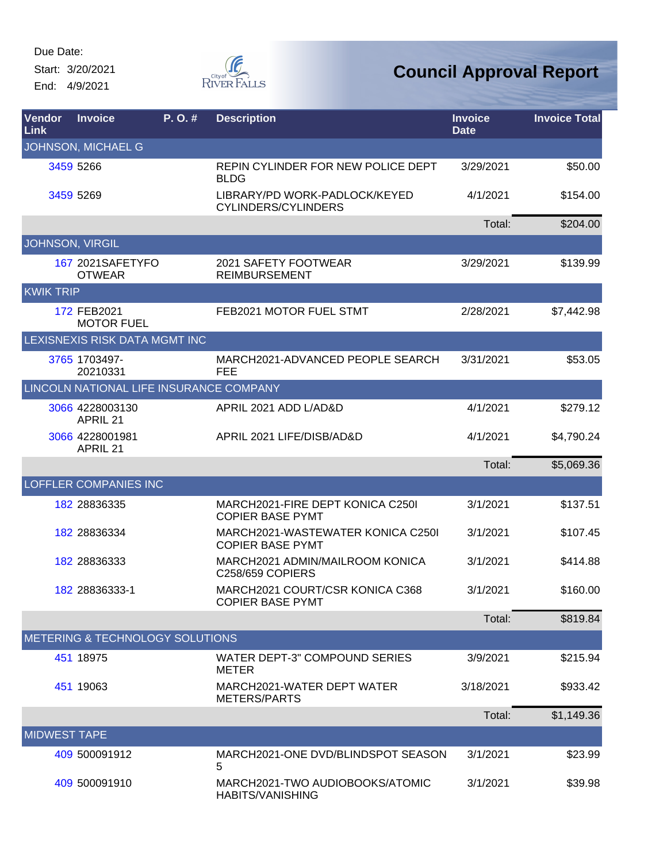Start: 3/20/2021 End: 4/9/2021



| Vendor<br>Link      | <b>Invoice</b>                             | P.O.# | <b>Description</b>                                           | <b>Invoice</b><br><b>Date</b> | <b>Invoice Total</b> |
|---------------------|--------------------------------------------|-------|--------------------------------------------------------------|-------------------------------|----------------------|
|                     | JOHNSON, MICHAEL G                         |       |                                                              |                               |                      |
|                     | 3459 5266                                  |       | REPIN CYLINDER FOR NEW POLICE DEPT<br><b>BLDG</b>            | 3/29/2021                     | \$50.00              |
|                     | 3459 5269                                  |       | LIBRARY/PD WORK-PADLOCK/KEYED<br>CYLINDERS/CYLINDERS         | 4/1/2021                      | \$154.00             |
|                     |                                            |       |                                                              | Total:                        | \$204.00             |
|                     | <b>JOHNSON, VIRGIL</b>                     |       |                                                              |                               |                      |
|                     | 167 2021SAFETYFO<br><b>OTWEAR</b>          |       | 2021 SAFETY FOOTWEAR<br><b>REIMBURSEMENT</b>                 | 3/29/2021                     | \$139.99             |
| <b>KWIK TRIP</b>    |                                            |       |                                                              |                               |                      |
|                     | 172 FEB2021<br><b>MOTOR FUEL</b>           |       | FEB2021 MOTOR FUEL STMT                                      | 2/28/2021                     | \$7,442.98           |
|                     | LEXISNEXIS RISK DATA MGMT INC              |       |                                                              |                               |                      |
|                     | 3765 1703497-<br>20210331                  |       | MARCH2021-ADVANCED PEOPLE SEARCH<br><b>FEE</b>               | 3/31/2021                     | \$53.05              |
|                     | LINCOLN NATIONAL LIFE INSURANCE COMPANY    |       |                                                              |                               |                      |
|                     | 3066 4228003130<br><b>APRIL 21</b>         |       | APRIL 2021 ADD L/AD&D                                        | 4/1/2021                      | \$279.12             |
|                     | 3066 4228001981<br><b>APRIL 21</b>         |       | APRIL 2021 LIFE/DISB/AD&D                                    | 4/1/2021                      | \$4,790.24           |
|                     |                                            |       |                                                              | Total:                        | \$5,069.36           |
|                     | <b>LOFFLER COMPANIES INC</b>               |       |                                                              |                               |                      |
|                     | 182 28836335                               |       | MARCH2021-FIRE DEPT KONICA C250I<br><b>COPIER BASE PYMT</b>  | 3/1/2021                      | \$137.51             |
|                     | 182 28836334                               |       | MARCH2021-WASTEWATER KONICA C250I<br><b>COPIER BASE PYMT</b> | 3/1/2021                      | \$107.45             |
|                     | 182 28836333                               |       | MARCH2021 ADMIN/MAILROOM KONICA<br><b>C258/659 COPIERS</b>   | 3/1/2021                      | \$414.88             |
|                     | 182 28836333-1                             |       | MARCH2021 COURT/CSR KONICA C368<br><b>COPIER BASE PYMT</b>   | 3/1/2021                      | \$160.00             |
|                     |                                            |       |                                                              | Total:                        | \$819.84             |
|                     | <b>METERING &amp; TECHNOLOGY SOLUTIONS</b> |       |                                                              |                               |                      |
|                     | 451 18975                                  |       | WATER DEPT-3" COMPOUND SERIES<br><b>METER</b>                | 3/9/2021                      | \$215.94             |
|                     | 451 19063                                  |       | MARCH2021-WATER DEPT WATER<br><b>METERS/PARTS</b>            | 3/18/2021                     | \$933.42             |
|                     |                                            |       |                                                              | Total:                        | \$1,149.36           |
| <b>MIDWEST TAPE</b> |                                            |       |                                                              |                               |                      |
|                     | 409 500091912                              |       | MARCH2021-ONE DVD/BLINDSPOT SEASON<br>5                      | 3/1/2021                      | \$23.99              |
|                     | 409 500091910                              |       | MARCH2021-TWO AUDIOBOOKS/ATOMIC<br>HABITS/VANISHING          | 3/1/2021                      | \$39.98              |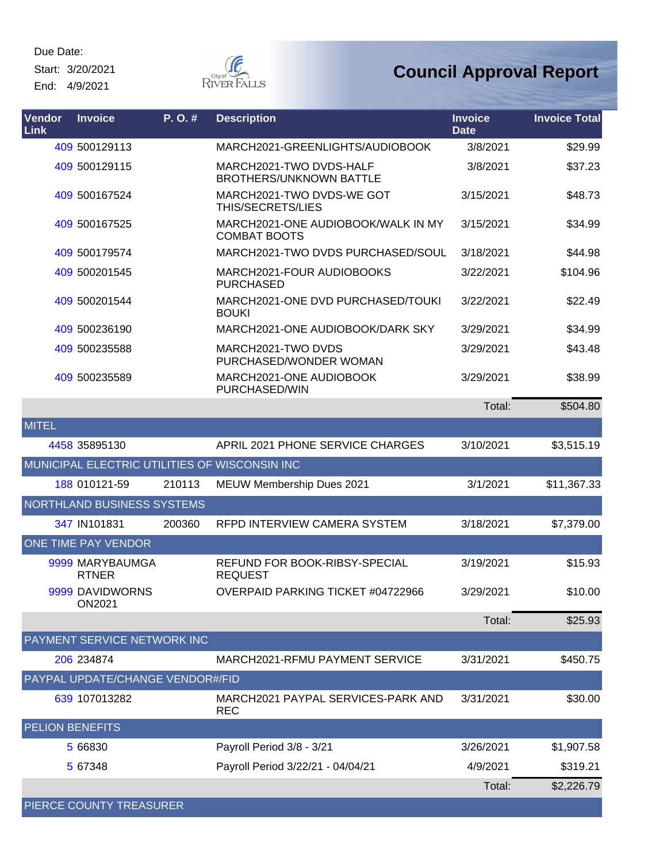Start: 3/20/2021 End: 4/9/2021



| Vendor<br>Link         | <b>Invoice</b>                    | P. O. # | <b>Description</b>                                        | <b>Invoice</b><br><b>Date</b> | <b>Invoice Total</b> |
|------------------------|-----------------------------------|---------|-----------------------------------------------------------|-------------------------------|----------------------|
|                        | 409 500129113                     |         | MARCH2021-GREENLIGHTS/AUDIOBOOK                           | 3/8/2021                      | \$29.99              |
|                        | 409 500129115                     |         | MARCH2021-TWO DVDS-HALF<br><b>BROTHERS/UNKNOWN BATTLE</b> | 3/8/2021                      | \$37.23              |
|                        | 409 500167524                     |         | MARCH2021-TWO DVDS-WE GOT<br>THIS/SECRETS/LIES            | 3/15/2021                     | \$48.73              |
|                        | 409 500167525                     |         | MARCH2021-ONE AUDIOBOOK/WALK IN MY<br><b>COMBAT BOOTS</b> | 3/15/2021                     | \$34.99              |
|                        | 409 500179574                     |         | MARCH2021-TWO DVDS PURCHASED/SOUL                         | 3/18/2021                     | \$44.98              |
|                        | 409 500201545                     |         | MARCH2021-FOUR AUDIOBOOKS<br><b>PURCHASED</b>             | 3/22/2021                     | \$104.96             |
|                        | 409 500201544                     |         | MARCH2021-ONE DVD PURCHASED/TOUKI<br><b>BOUKI</b>         | 3/22/2021                     | \$22.49              |
|                        | 409 500236190                     |         | MARCH2021-ONE AUDIOBOOK/DARK SKY                          | 3/29/2021                     | \$34.99              |
|                        | 409 500235588                     |         | MARCH2021-TWO DVDS<br>PURCHASED/WONDER WOMAN              | 3/29/2021                     | \$43.48              |
|                        | 409 500235589                     |         | MARCH2021-ONE AUDIOBOOK<br>PURCHASED/WIN                  | 3/29/2021                     | \$38.99              |
|                        |                                   |         |                                                           | Total:                        | \$504.80             |
| <b>MITEL</b>           |                                   |         |                                                           |                               |                      |
|                        | 4458 35895130                     |         | APRIL 2021 PHONE SERVICE CHARGES                          | 3/10/2021                     | \$3,515.19           |
|                        |                                   |         | MUNICIPAL ELECTRIC UTILITIES OF WISCONSIN INC             |                               |                      |
|                        | 188 010121-59                     | 210113  | MEUW Membership Dues 2021                                 | 3/1/2021                      | \$11,367.33          |
|                        | <b>NORTHLAND BUSINESS SYSTEMS</b> |         |                                                           |                               |                      |
|                        | 347 IN101831                      | 200360  | RFPD INTERVIEW CAMERA SYSTEM                              | 3/18/2021                     | \$7,379.00           |
|                        | ONE TIME PAY VENDOR               |         |                                                           |                               |                      |
|                        | 9999 MARYBAUMGA<br><b>RTNER</b>   |         | REFUND FOR BOOK-RIBSY-SPECIAL<br><b>REQUEST</b>           | 3/19/2021                     | \$15.93              |
|                        | 9999 DAVIDWORNS<br><b>ON2021</b>  |         | OVERPAID PARKING TICKET #04722966                         | 3/29/2021                     | \$10.00              |
|                        |                                   |         |                                                           | Total:                        | \$25.93              |
|                        | PAYMENT SERVICE NETWORK INC       |         |                                                           |                               |                      |
|                        | 206 234874                        |         | MARCH2021-RFMU PAYMENT SERVICE                            | 3/31/2021                     | \$450.75             |
|                        | PAYPAL UPDATE/CHANGE VENDOR#/FID  |         |                                                           |                               |                      |
|                        | 639 107013282                     |         | MARCH2021 PAYPAL SERVICES-PARK AND<br><b>REC</b>          | 3/31/2021                     | \$30.00              |
| <b>PELION BENEFITS</b> |                                   |         |                                                           |                               |                      |
|                        | 5 66830                           |         | Payroll Period 3/8 - 3/21                                 | 3/26/2021                     | \$1,907.58           |
|                        | 5 67348                           |         | Payroll Period 3/22/21 - 04/04/21                         | 4/9/2021                      | \$319.21             |
|                        |                                   |         |                                                           | Total:                        | \$2,226.79           |
|                        | PIERCE COUNTY TREASURER           |         |                                                           |                               |                      |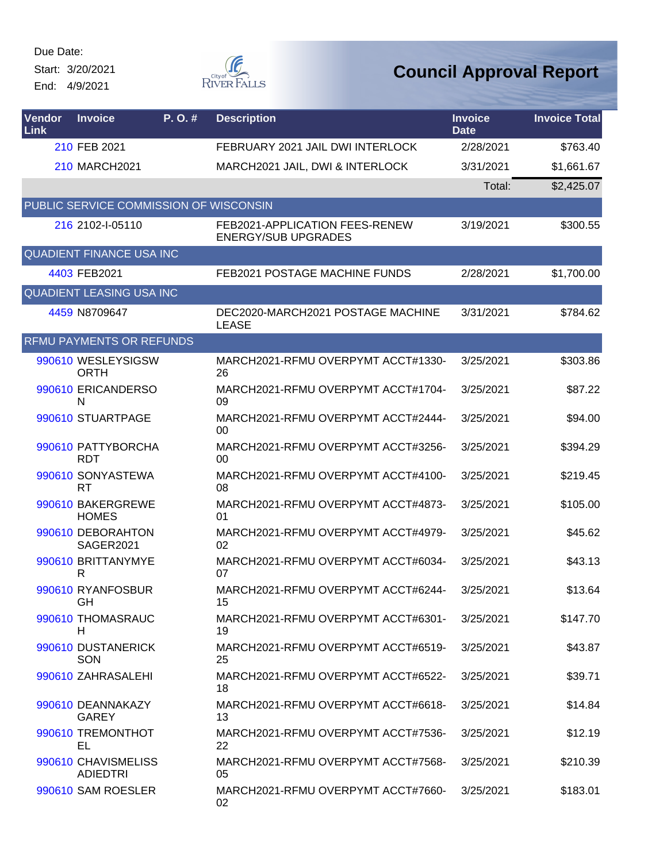Start: 3/20/2021 End: 4/9/2021



| Vendor<br>Link | <b>Invoice</b>                         | P. O. # | <b>Description</b>                                           | <b>Invoice</b><br><b>Date</b> | <b>Invoice Total</b> |
|----------------|----------------------------------------|---------|--------------------------------------------------------------|-------------------------------|----------------------|
|                | 210 FEB 2021                           |         | FEBRUARY 2021 JAIL DWI INTERLOCK                             | 2/28/2021                     | \$763.40             |
|                | 210 MARCH2021                          |         | MARCH2021 JAIL, DWI & INTERLOCK                              | 3/31/2021                     | \$1,661.67           |
|                |                                        |         |                                                              | Total:                        | \$2,425.07           |
|                | PUBLIC SERVICE COMMISSION OF WISCONSIN |         |                                                              |                               |                      |
|                | 216 2102-I-05110                       |         | FEB2021-APPLICATION FEES-RENEW<br><b>ENERGY/SUB UPGRADES</b> | 3/19/2021                     | \$300.55             |
|                | <b>QUADIENT FINANCE USA INC</b>        |         |                                                              |                               |                      |
|                | 4403 FEB2021                           |         | FEB2021 POSTAGE MACHINE FUNDS                                | 2/28/2021                     | \$1,700.00           |
|                | <b>QUADIENT LEASING USA INC</b>        |         |                                                              |                               |                      |
|                | 4459 N8709647                          |         | DEC2020-MARCH2021 POSTAGE MACHINE<br><b>LEASE</b>            | 3/31/2021                     | \$784.62             |
|                | <b>RFMU PAYMENTS OR REFUNDS</b>        |         |                                                              |                               |                      |
|                | 990610 WESLEYSIGSW<br><b>ORTH</b>      |         | MARCH2021-RFMU OVERPYMT ACCT#1330-<br>26                     | 3/25/2021                     | \$303.86             |
|                | 990610 ERICANDERSO<br>N                |         | MARCH2021-RFMU OVERPYMT ACCT#1704-<br>09                     | 3/25/2021                     | \$87.22              |
|                | 990610 STUARTPAGE                      |         | MARCH2021-RFMU OVERPYMT ACCT#2444-<br>00                     | 3/25/2021                     | \$94.00              |
|                | 990610 PATTYBORCHA<br><b>RDT</b>       |         | MARCH2021-RFMU OVERPYMT ACCT#3256-<br>00                     | 3/25/2021                     | \$394.29             |
|                | 990610 SONYASTEWA<br><b>RT</b>         |         | MARCH2021-RFMU OVERPYMT ACCT#4100-<br>08                     | 3/25/2021                     | \$219.45             |
|                | 990610 BAKERGREWE<br><b>HOMES</b>      |         | MARCH2021-RFMU OVERPYMT ACCT#4873-<br>01                     | 3/25/2021                     | \$105.00             |
|                | 990610 DEBORAHTON<br>SAGER2021         |         | MARCH2021-RFMU OVERPYMT ACCT#4979-<br>02                     | 3/25/2021                     | \$45.62              |
|                | 990610 BRITTANYMYE<br>R                |         | MARCH2021-RFMU OVERPYMT ACCT#6034-<br>07                     | 3/25/2021                     | \$43.13              |
|                | 990610 RYANFOSBUR<br>GH                |         | MARCH2021-RFMU OVERPYMT ACCT#6244-<br>15                     | 3/25/2021                     | \$13.64              |
|                | 990610 THOMASRAUC<br>Н                 |         | MARCH2021-RFMU OVERPYMT ACCT#6301-<br>19                     | 3/25/2021                     | \$147.70             |
|                | 990610 DUSTANERICK<br>SON              |         | MARCH2021-RFMU OVERPYMT ACCT#6519-<br>25                     | 3/25/2021                     | \$43.87              |
|                | 990610 ZAHRASALEHI                     |         | MARCH2021-RFMU OVERPYMT ACCT#6522-<br>18                     | 3/25/2021                     | \$39.71              |
|                | 990610 DEANNAKAZY<br><b>GAREY</b>      |         | MARCH2021-RFMU OVERPYMT ACCT#6618-<br>13                     | 3/25/2021                     | \$14.84              |
|                | 990610 TREMONTHOT<br>EL                |         | MARCH2021-RFMU OVERPYMT ACCT#7536-<br>22                     | 3/25/2021                     | \$12.19              |
|                | 990610 CHAVISMELISS<br><b>ADIEDTRI</b> |         | MARCH2021-RFMU OVERPYMT ACCT#7568-<br>05                     | 3/25/2021                     | \$210.39             |
|                | 990610 SAM ROESLER                     |         | MARCH2021-RFMU OVERPYMT ACCT#7660-<br>02                     | 3/25/2021                     | \$183.01             |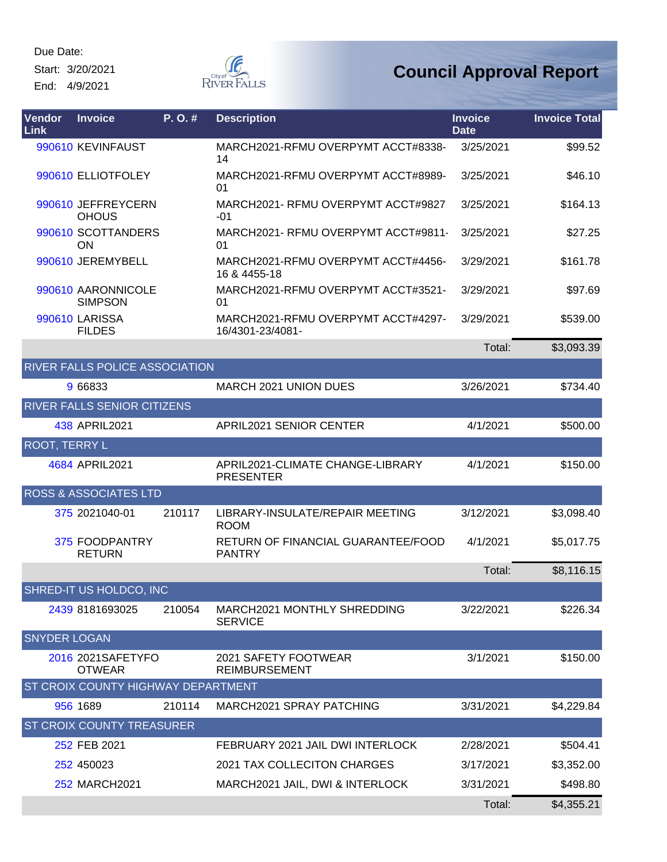Start: 3/20/2021 End: 4/9/2021



| Vendor<br>Link       | <b>Invoice</b>                         | P.O.#  | <b>Description</b>                                     | <b>Invoice</b><br><b>Date</b> | <b>Invoice Total</b> |
|----------------------|----------------------------------------|--------|--------------------------------------------------------|-------------------------------|----------------------|
|                      | 990610 KEVINFAUST                      |        | MARCH2021-RFMU OVERPYMT ACCT#8338-<br>14               | 3/25/2021                     | \$99.52              |
|                      | 990610 ELLIOTFOLEY                     |        | MARCH2021-RFMU OVERPYMT ACCT#8989-<br>01               | 3/25/2021                     | \$46.10              |
|                      | 990610 JEFFREYCERN<br><b>OHOUS</b>     |        | MARCH2021- RFMU OVERPYMT ACCT#9827<br>$-01$            | 3/25/2021                     | \$164.13             |
|                      | 990610 SCOTTANDERS<br>ON               |        | MARCH2021- RFMU OVERPYMT ACCT#9811-<br>01              | 3/25/2021                     | \$27.25              |
|                      | 990610 JEREMYBELL                      |        | MARCH2021-RFMU OVERPYMT ACCT#4456-<br>16 & 4455-18     | 3/29/2021                     | \$161.78             |
|                      | 990610 AARONNICOLE<br><b>SIMPSON</b>   |        | MARCH2021-RFMU OVERPYMT ACCT#3521-<br>01               | 3/29/2021                     | \$97.69              |
|                      | <b>990610 LARISSA</b><br><b>FILDES</b> |        | MARCH2021-RFMU OVERPYMT ACCT#4297-<br>16/4301-23/4081- | 3/29/2021                     | \$539.00             |
|                      |                                        |        |                                                        | Total:                        | \$3,093.39           |
|                      | RIVER FALLS POLICE ASSOCIATION         |        |                                                        |                               |                      |
|                      | 9 66833                                |        | <b>MARCH 2021 UNION DUES</b>                           | 3/26/2021                     | \$734.40             |
|                      | RIVER FALLS SENIOR CITIZENS            |        |                                                        |                               |                      |
|                      | 438 APRIL2021                          |        | APRIL2021 SENIOR CENTER                                | 4/1/2021                      | \$500.00             |
| <b>ROOT, TERRY L</b> |                                        |        |                                                        |                               |                      |
|                      | 4684 APRIL2021                         |        | APRIL2021-CLIMATE CHANGE-LIBRARY<br><b>PRESENTER</b>   | 4/1/2021                      | \$150.00             |
|                      | <b>ROSS &amp; ASSOCIATES LTD</b>       |        |                                                        |                               |                      |
|                      | 375 2021040-01                         | 210117 | LIBRARY-INSULATE/REPAIR MEETING<br><b>ROOM</b>         | 3/12/2021                     | \$3,098.40           |
|                      | 375 FOODPANTRY<br><b>RETURN</b>        |        | RETURN OF FINANCIAL GUARANTEE/FOOD<br><b>PANTRY</b>    | 4/1/2021                      | \$5,017.75           |
|                      |                                        |        |                                                        | Total:                        | \$8,116.15           |
|                      | SHRED-IT US HOLDCO, INC                |        |                                                        |                               |                      |
|                      | 2439 8181693025                        | 210054 | MARCH2021 MONTHLY SHREDDING<br><b>SERVICE</b>          | 3/22/2021                     | \$226.34             |
| <b>SNYDER LOGAN</b>  |                                        |        |                                                        |                               |                      |
|                      | 2016 2021SAFETYFO<br><b>OTWEAR</b>     |        | 2021 SAFETY FOOTWEAR<br><b>REIMBURSEMENT</b>           | 3/1/2021                      | \$150.00             |
|                      | ST CROIX COUNTY HIGHWAY DEPARTMENT     |        |                                                        |                               |                      |
|                      | 956 1689                               | 210114 | MARCH2021 SPRAY PATCHING                               | 3/31/2021                     | \$4,229.84           |
|                      | <b>ST CROIX COUNTY TREASURER</b>       |        |                                                        |                               |                      |
|                      | 252 FEB 2021                           |        | FEBRUARY 2021 JAIL DWI INTERLOCK                       | 2/28/2021                     | \$504.41             |
|                      | 252 450023                             |        | 2021 TAX COLLECITON CHARGES                            | 3/17/2021                     | \$3,352.00           |
|                      | 252 MARCH2021                          |        | MARCH2021 JAIL, DWI & INTERLOCK                        | 3/31/2021                     | \$498.80             |
|                      |                                        |        |                                                        | Total:                        | \$4,355.21           |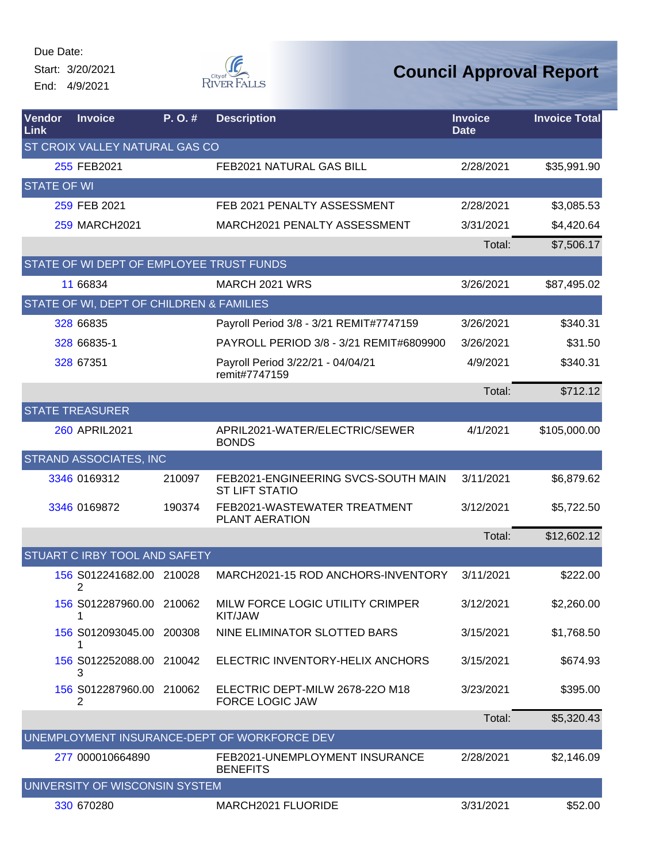Start: 3/20/2021 End: 4/9/2021



| Vendor<br>Link     | <b>Invoice</b>                           | P.O.#  | <b>Description</b>                                           | <b>Invoice</b><br><b>Date</b> | <b>Invoice Total</b> |
|--------------------|------------------------------------------|--------|--------------------------------------------------------------|-------------------------------|----------------------|
|                    | ST CROIX VALLEY NATURAL GAS CO           |        |                                                              |                               |                      |
|                    | 255 FEB2021                              |        | FEB2021 NATURAL GAS BILL                                     | 2/28/2021                     | \$35,991.90          |
| <b>STATE OF WI</b> |                                          |        |                                                              |                               |                      |
|                    | 259 FEB 2021                             |        | FEB 2021 PENALTY ASSESSMENT                                  | 2/28/2021                     | \$3,085.53           |
|                    | <b>259 MARCH2021</b>                     |        | MARCH2021 PENALTY ASSESSMENT                                 | 3/31/2021                     | \$4,420.64           |
|                    |                                          |        |                                                              | Total:                        | \$7,506.17           |
|                    | STATE OF WI DEPT OF EMPLOYEE TRUST FUNDS |        |                                                              |                               |                      |
|                    | 11 66834                                 |        | MARCH 2021 WRS                                               | 3/26/2021                     | \$87,495.02          |
|                    | STATE OF WI, DEPT OF CHILDREN & FAMILIES |        |                                                              |                               |                      |
|                    | 328 66835                                |        | Payroll Period 3/8 - 3/21 REMIT#7747159                      | 3/26/2021                     | \$340.31             |
|                    | 328 66835-1                              |        | PAYROLL PERIOD 3/8 - 3/21 REMIT#6809900                      | 3/26/2021                     | \$31.50              |
|                    | 328 67351                                |        | Payroll Period 3/22/21 - 04/04/21<br>remit#7747159           | 4/9/2021                      | \$340.31             |
|                    |                                          |        |                                                              | Total:                        | \$712.12             |
|                    | <b>STATE TREASURER</b>                   |        |                                                              |                               |                      |
|                    | <b>260 APRIL2021</b>                     |        | APRIL2021-WATER/ELECTRIC/SEWER<br><b>BONDS</b>               | 4/1/2021                      | \$105,000.00         |
|                    | <b>STRAND ASSOCIATES, INC</b>            |        |                                                              |                               |                      |
|                    | 3346 0169312                             | 210097 | FEB2021-ENGINEERING SVCS-SOUTH MAIN<br><b>ST LIFT STATIO</b> | 3/11/2021                     | \$6,879.62           |
|                    | 3346 0169872                             | 190374 | FEB2021-WASTEWATER TREATMENT<br><b>PLANT AERATION</b>        | 3/12/2021                     | \$5,722.50           |
|                    |                                          |        |                                                              | Total:                        | \$12,602.12          |
|                    | STUART C IRBY TOOL AND SAFETY            |        |                                                              |                               |                      |
|                    | 156 S012241682.00 210028<br>2            |        | MARCH2021-15 ROD ANCHORS-INVENTORY                           | 3/11/2021                     | \$222.00             |
|                    | 156 S012287960.00 210062                 |        | MILW FORCE LOGIC UTILITY CRIMPER<br>KIT/JAW                  | 3/12/2021                     | \$2,260.00           |
|                    | 156 S012093045.00 200308                 |        | NINE ELIMINATOR SLOTTED BARS                                 | 3/15/2021                     | \$1,768.50           |
|                    | 156 S012252088.00 210042<br>3            |        | ELECTRIC INVENTORY-HELIX ANCHORS                             | 3/15/2021                     | \$674.93             |
|                    | 156 S012287960.00 210062<br>2            |        | ELECTRIC DEPT-MILW 2678-220 M18<br><b>FORCE LOGIC JAW</b>    | 3/23/2021                     | \$395.00             |
|                    |                                          |        |                                                              | Total:                        | \$5,320.43           |
|                    |                                          |        | UNEMPLOYMENT INSURANCE-DEPT OF WORKFORCE DEV                 |                               |                      |
|                    | 277 000010664890                         |        | FEB2021-UNEMPLOYMENT INSURANCE<br><b>BENEFITS</b>            | 2/28/2021                     | \$2,146.09           |
|                    | UNIVERSITY OF WISCONSIN SYSTEM           |        |                                                              |                               |                      |
|                    | 330 670280                               |        | MARCH2021 FLUORIDE                                           | 3/31/2021                     | \$52.00              |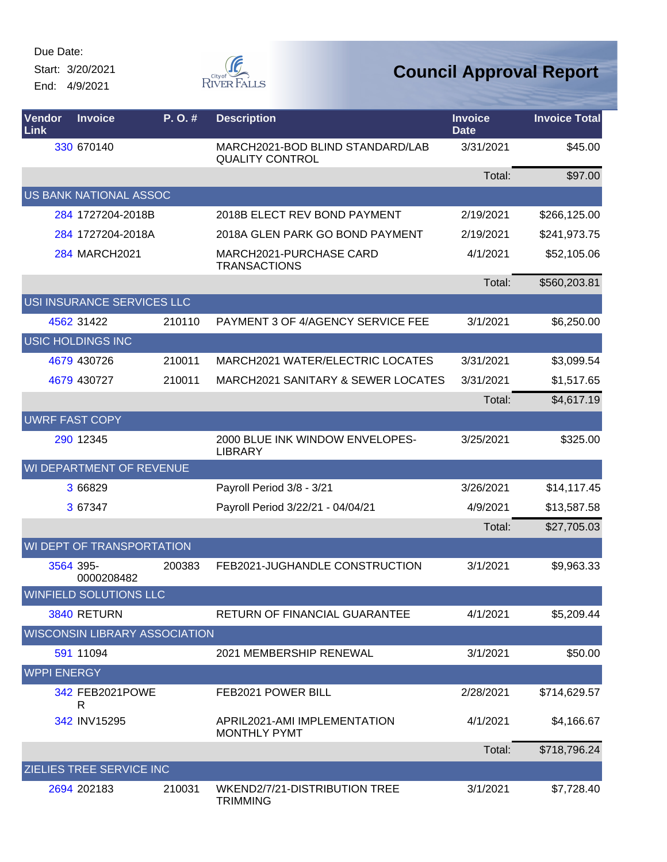Start: 3/20/2021 End: 4/9/2021



| <b>Vendor</b><br>Link | <b>Invoice</b>                       | P. O. # | <b>Description</b>                                         | <b>Invoice</b><br><b>Date</b> | <b>Invoice Total</b> |
|-----------------------|--------------------------------------|---------|------------------------------------------------------------|-------------------------------|----------------------|
|                       | 330 670140                           |         | MARCH2021-BOD BLIND STANDARD/LAB<br><b>QUALITY CONTROL</b> | 3/31/2021                     | \$45.00              |
|                       |                                      |         |                                                            | Total:                        | \$97.00              |
|                       | US BANK NATIONAL ASSOC               |         |                                                            |                               |                      |
|                       | 284 1727204-2018B                    |         | 2018B ELECT REV BOND PAYMENT                               | 2/19/2021                     | \$266,125.00         |
|                       | 284 1727204-2018A                    |         | 2018A GLEN PARK GO BOND PAYMENT                            | 2/19/2021                     | \$241,973.75         |
|                       | 284 MARCH2021                        |         | MARCH2021-PURCHASE CARD<br><b>TRANSACTIONS</b>             | 4/1/2021                      | \$52,105.06          |
|                       |                                      |         |                                                            | Total:                        | \$560,203.81         |
|                       | USI INSURANCE SERVICES LLC           |         |                                                            |                               |                      |
|                       | 4562 31422                           | 210110  | PAYMENT 3 OF 4/AGENCY SERVICE FEE                          | 3/1/2021                      | \$6,250.00           |
|                       | <b>USIC HOLDINGS INC</b>             |         |                                                            |                               |                      |
|                       | 4679 430726                          | 210011  | MARCH2021 WATER/ELECTRIC LOCATES                           | 3/31/2021                     | \$3,099.54           |
|                       | 4679 430727                          | 210011  | <b>MARCH2021 SANITARY &amp; SEWER LOCATES</b>              | 3/31/2021                     | \$1,517.65           |
|                       |                                      |         |                                                            | Total:                        | \$4,617.19           |
|                       | <b>UWRF FAST COPY</b>                |         |                                                            |                               |                      |
|                       | 290 12345                            |         | 2000 BLUE INK WINDOW ENVELOPES-<br><b>LIBRARY</b>          | 3/25/2021                     | \$325.00             |
|                       | WI DEPARTMENT OF REVENUE             |         |                                                            |                               |                      |
|                       | 3 66829                              |         | Payroll Period 3/8 - 3/21                                  | 3/26/2021                     | \$14,117.45          |
|                       | 3 67347                              |         | Payroll Period 3/22/21 - 04/04/21                          | 4/9/2021                      | \$13,587.58          |
|                       |                                      |         |                                                            | Total:                        | \$27,705.03          |
|                       | WI DEPT OF TRANSPORTATION            |         |                                                            |                               |                      |
|                       | 3564 395-<br>0000208482              | 200383  | FEB2021-JUGHANDLE CONSTRUCTION                             | 3/1/2021                      | \$9,963.33           |
|                       | WINFIELD SOLUTIONS LLC               |         |                                                            |                               |                      |
|                       | 3840 RETURN                          |         | <b>RETURN OF FINANCIAL GUARANTEE</b>                       | 4/1/2021                      | \$5,209.44           |
|                       | <b>WISCONSIN LIBRARY ASSOCIATION</b> |         |                                                            |                               |                      |
|                       | 591 11094                            |         | 2021 MEMBERSHIP RENEWAL                                    | 3/1/2021                      | \$50.00              |
| <b>WPPI ENERGY</b>    |                                      |         |                                                            |                               |                      |
|                       | 342 FEB2021POWE<br>R                 |         | FEB2021 POWER BILL                                         | 2/28/2021                     | \$714,629.57         |
|                       | 342 INV15295                         |         | APRIL2021-AMI IMPLEMENTATION<br><b>MONTHLY PYMT</b>        | 4/1/2021                      | \$4,166.67           |
|                       |                                      |         |                                                            | Total:                        | \$718,796.24         |
|                       | ZIELIES TREE SERVICE INC             |         |                                                            |                               |                      |
|                       | 2694 202183                          | 210031  | WKEND2/7/21-DISTRIBUTION TREE<br><b>TRIMMING</b>           | 3/1/2021                      | \$7,728.40           |